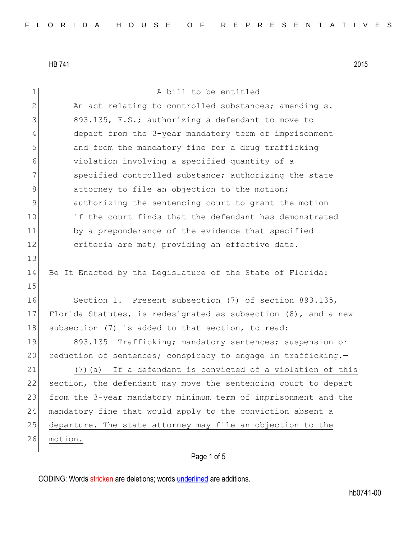| $\mathbf 1$  | A bill to be entitled                                             |  |  |  |  |  |  |  |
|--------------|-------------------------------------------------------------------|--|--|--|--|--|--|--|
| $\mathbf{2}$ | An act relating to controlled substances; amending s.             |  |  |  |  |  |  |  |
| 3            | 893.135, F.S.; authorizing a defendant to move to                 |  |  |  |  |  |  |  |
| 4            | depart from the 3-year mandatory term of imprisonment             |  |  |  |  |  |  |  |
| 5            | and from the mandatory fine for a drug trafficking                |  |  |  |  |  |  |  |
| 6            | violation involving a specified quantity of a                     |  |  |  |  |  |  |  |
| 7            | specified controlled substance; authorizing the state             |  |  |  |  |  |  |  |
| 8            | attorney to file an objection to the motion;                      |  |  |  |  |  |  |  |
| 9            | authorizing the sentencing court to grant the motion              |  |  |  |  |  |  |  |
| 10           | if the court finds that the defendant has demonstrated            |  |  |  |  |  |  |  |
| 11           | by a preponderance of the evidence that specified                 |  |  |  |  |  |  |  |
| 12           | criteria are met; providing an effective date.                    |  |  |  |  |  |  |  |
| 13           |                                                                   |  |  |  |  |  |  |  |
| 14           | Be It Enacted by the Legislature of the State of Florida:         |  |  |  |  |  |  |  |
| 15           |                                                                   |  |  |  |  |  |  |  |
| 16           | Section 1. Present subsection (7) of section 893.135,             |  |  |  |  |  |  |  |
| 17           | Florida Statutes, is redesignated as subsection $(8)$ , and a new |  |  |  |  |  |  |  |
| 18           | subsection (7) is added to that section, to read:                 |  |  |  |  |  |  |  |
| 19           | 893.135 Trafficking; mandatory sentences; suspension or           |  |  |  |  |  |  |  |
| 20           | reduction of sentences; conspiracy to engage in trafficking.-     |  |  |  |  |  |  |  |
| 21           | If a defendant is convicted of a violation of this<br>$(7)$ (a)   |  |  |  |  |  |  |  |
| 22           | section, the defendant may move the sentencing court to depart    |  |  |  |  |  |  |  |
| 23           | from the 3-year mandatory minimum term of imprisonment and the    |  |  |  |  |  |  |  |
| 24           | mandatory fine that would apply to the conviction absent a        |  |  |  |  |  |  |  |
| 25           | departure. The state attorney may file an objection to the        |  |  |  |  |  |  |  |
| 26           | motion.                                                           |  |  |  |  |  |  |  |
|              |                                                                   |  |  |  |  |  |  |  |

## Page 1 of 5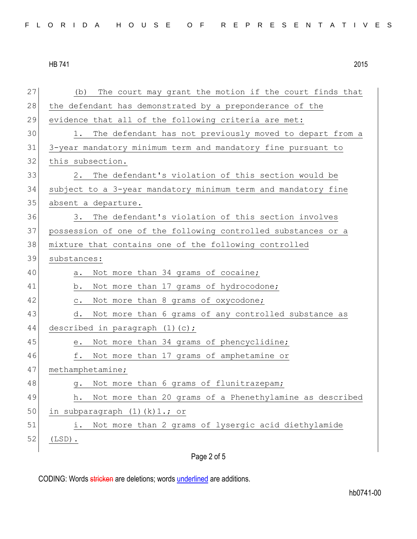27 (b) The court may grant the motion if the court finds that 28 the defendant has demonstrated by a preponderance of the 29 evidence that all of the following criteria are met: 30 1. The defendant has not previously moved to depart from a 31 3-year mandatory minimum term and mandatory fine pursuant to 32 this subsection. 33 2. The defendant's violation of this section would be 34 subject to a 3-year mandatory minimum term and mandatory fine 35 absent a departure. 36 3. The defendant's violation of this section involves 37 possession of one of the following controlled substances or a 38 mixture that contains one of the following controlled 39 substances: 40 a. Not more than 34 grams of cocaine; 41 b. Not more than 17 grams of hydrocodone; 42 c. Not more than 8 grams of oxycodone; 43 d. Not more than 6 grams of any controlled substance as 44 described in paragraph (1)(c); 45 e. Not more than 34 grams of phencyclidine; 46 f. Not more than 17 grams of amphetamine or 47 methamphetamine; 48 g. Not more than 6 grams of flunitrazepam; 49 h. Not more than 20 grams of a Phenethylamine as described 50 in subparagraph  $(1)(k)1$ .; or 51 i. Not more than 2 grams of lysergic acid diethylamide  $52$  (LSD).

Page 2 of 5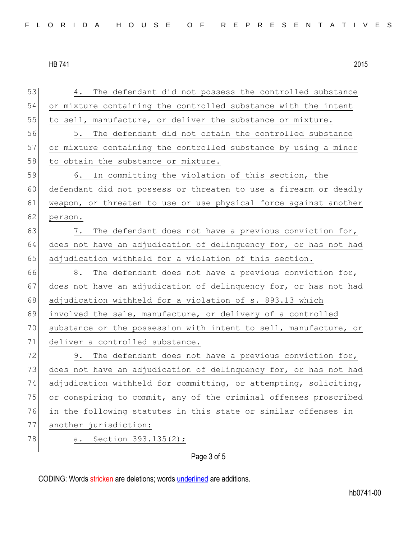53 4. The defendant did not possess the controlled substance 54 or mixture containing the controlled substance with the intent 55 to sell, manufacture, or deliver the substance or mixture. 56 5. The defendant did not obtain the controlled substance 57 or mixture containing the controlled substance by using a minor 58 to obtain the substance or mixture. 59 6. In committing the violation of this section, the 60 defendant did not possess or threaten to use a firearm or deadly 61 weapon, or threaten to use or use physical force against another 62 person. 63 7. The defendant does not have a previous conviction for, 64 does not have an adjudication of delinquency for, or has not had 65 adjudication withheld for a violation of this section. 66 8. The defendant does not have a previous conviction for, 67 does not have an adjudication of delinquency for, or has not had 68 adjudication withheld for a violation of s. 893.13 which 69 involved the sale, manufacture, or delivery of a controlled 70 substance or the possession with intent to sell, manufacture, or 71 deliver a controlled substance.  $72$  9. The defendant does not have a previous conviction for, 73 does not have an adjudication of delinquency for, or has not had 74 adjudication withheld for committing, or attempting, soliciting, 75 or conspiring to commit, any of the criminal offenses proscribed 76 in the following statutes in this state or similar offenses in 77 another jurisdiction: 78 a. Section 393.135(2);

Page 3 of 5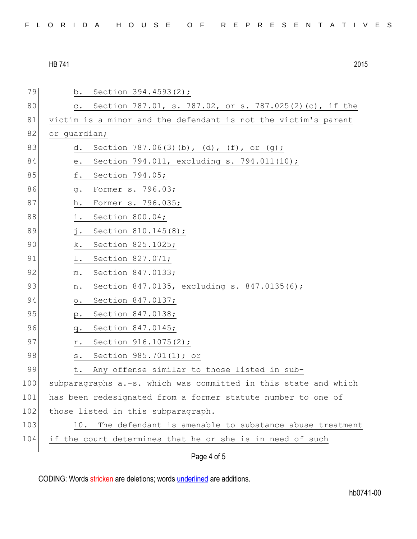| FLORIDA HOUSE OF REPRESENTATIVES |  |
|----------------------------------|--|
|----------------------------------|--|

| 79  | Section 394.4593(2);<br>b.                                                                                         |  |  |  |  |  |  |
|-----|--------------------------------------------------------------------------------------------------------------------|--|--|--|--|--|--|
| 80  | Section 787.01, s. 787.02, or s. 787.025(2)(c), if the<br>$\circ$ .                                                |  |  |  |  |  |  |
| 81  | victim is a minor and the defendant is not the victim's parent                                                     |  |  |  |  |  |  |
| 82  | or quardian;                                                                                                       |  |  |  |  |  |  |
| 83  | Section $787.06(3)(b)$ , (d), (f), or (g);<br>d.                                                                   |  |  |  |  |  |  |
| 84  | Section 794.011, excluding s. 794.011(10);<br>$\mathrel{\mathop{\text{e}}\mathrel{\mathop{\text{--}}\nolimits}}$ . |  |  |  |  |  |  |
| 85  | f.<br>Section 794.05;                                                                                              |  |  |  |  |  |  |
| 86  | Former s. 796.03;<br>g.                                                                                            |  |  |  |  |  |  |
| 87  | Former s. 796.035;<br>h.                                                                                           |  |  |  |  |  |  |
| 88  | Section 800.04;<br>i.                                                                                              |  |  |  |  |  |  |
| 89  | Section 810.145(8);<br>j.                                                                                          |  |  |  |  |  |  |
| 90  | Section 825.1025;<br>k.                                                                                            |  |  |  |  |  |  |
| 91  | Section 827.071;<br>l.                                                                                             |  |  |  |  |  |  |
| 92  | Section 847.0133;<br>${\mathfrak m}$ .                                                                             |  |  |  |  |  |  |
| 93  | Section 847.0135, excluding s. 847.0135(6);<br>n.                                                                  |  |  |  |  |  |  |
| 94  | Section 847.0137;<br>$\circ$ .                                                                                     |  |  |  |  |  |  |
| 95  | Section 847.0138;<br>$p$ .                                                                                         |  |  |  |  |  |  |
| 96  | Section 847.0145;<br>q.                                                                                            |  |  |  |  |  |  |
| 97  | Section 916.1075(2);<br>r.                                                                                         |  |  |  |  |  |  |
| 98  | Section 985.701(1); or<br>$\texttt{s}$ .                                                                           |  |  |  |  |  |  |
| 99  | Any offense similar to those listed in sub-<br>t.                                                                  |  |  |  |  |  |  |
| 100 | subparagraphs a.-s. which was committed in this state and which                                                    |  |  |  |  |  |  |
| 101 | has been redesignated from a former statute number to one of                                                       |  |  |  |  |  |  |
| 102 | those listed in this subparagraph.                                                                                 |  |  |  |  |  |  |
| 103 | 10. The defendant is amenable to substance abuse treatment                                                         |  |  |  |  |  |  |
| 104 | if the court determines that he or she is in need of such                                                          |  |  |  |  |  |  |
|     | Page 4 of 5                                                                                                        |  |  |  |  |  |  |
|     |                                                                                                                    |  |  |  |  |  |  |